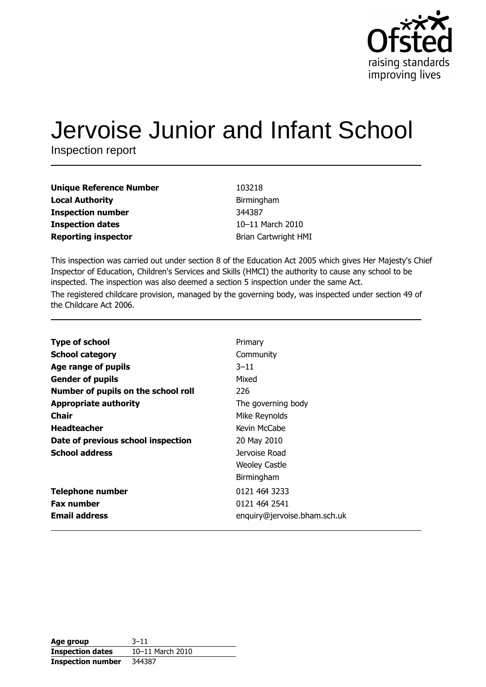

# Jervoise Junior and Infant School

Inspection report

| <b>Unique Reference Number</b> |
|--------------------------------|
| <b>Local Authority</b>         |
| <b>Inspection number</b>       |
| <b>Inspection dates</b>        |
| <b>Reporting inspector</b>     |

103218 Birmingham 344387 10-11 March 2010 Brian Cartwright HMI

This inspection was carried out under section 8 of the Education Act 2005 which gives Her Majesty's Chief Inspector of Education, Children's Services and Skills (HMCI) the authority to cause any school to be inspected. The inspection was also deemed a section 5 inspection under the same Act. The registered childcare provision, managed by the governing body, was inspected under section 49 of the Childcare Act 2006.

| <b>Type of school</b>               | Primary                      |
|-------------------------------------|------------------------------|
| <b>School category</b>              | Community                    |
| Age range of pupils                 | $3 - 11$                     |
| <b>Gender of pupils</b>             | Mixed                        |
| Number of pupils on the school roll | 226                          |
| <b>Appropriate authority</b>        | The governing body           |
| Chair                               | Mike Reynolds                |
| <b>Headteacher</b>                  | Kevin McCabe                 |
| Date of previous school inspection  | 20 May 2010                  |
| <b>School address</b>               | Jervoise Road                |
|                                     | <b>Weoley Castle</b>         |
|                                     | Birmingham                   |
| <b>Telephone number</b>             | 0121 464 3233                |
| <b>Fax number</b>                   | 0121 464 2541                |
| <b>Email address</b>                | enquiry@jervoise.bham.sch.uk |

| Age group                | $3 - 11$         |
|--------------------------|------------------|
| <b>Inspection dates</b>  | 10-11 March 2010 |
| <b>Inspection number</b> | 344387           |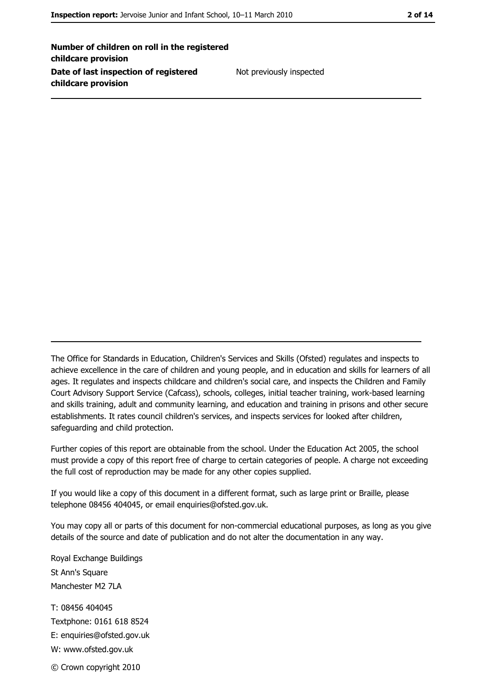Number of children on roll in the registered childcare provision Date of last inspection of registered childcare provision

Not previously inspected

The Office for Standards in Education, Children's Services and Skills (Ofsted) regulates and inspects to achieve excellence in the care of children and young people, and in education and skills for learners of all ages. It regulates and inspects childcare and children's social care, and inspects the Children and Family Court Advisory Support Service (Cafcass), schools, colleges, initial teacher training, work-based learning and skills training, adult and community learning, and education and training in prisons and other secure establishments. It rates council children's services, and inspects services for looked after children, safequarding and child protection.

Further copies of this report are obtainable from the school. Under the Education Act 2005, the school must provide a copy of this report free of charge to certain categories of people. A charge not exceeding the full cost of reproduction may be made for any other copies supplied.

If you would like a copy of this document in a different format, such as large print or Braille, please telephone 08456 404045, or email enquiries@ofsted.gov.uk.

You may copy all or parts of this document for non-commercial educational purposes, as long as you give details of the source and date of publication and do not alter the documentation in any way.

Royal Exchange Buildings St Ann's Square Manchester M2 7LA T: 08456 404045 Textphone: 0161 618 8524 E: enquiries@ofsted.gov.uk W: www.ofsted.gov.uk © Crown copyright 2010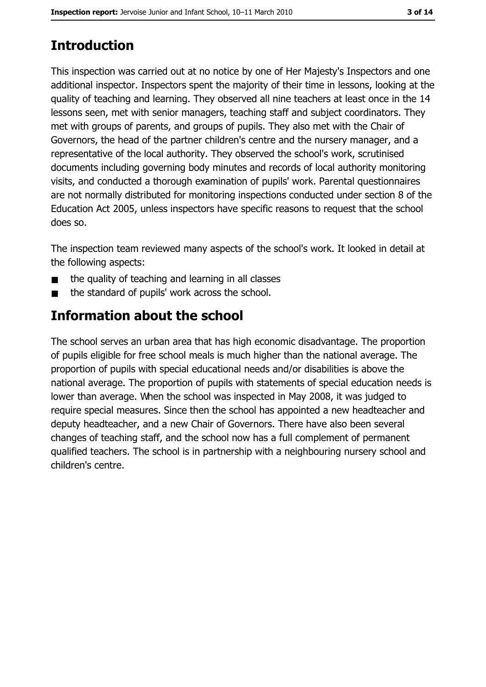# **Introduction**

This inspection was carried out at no notice by one of Her Majesty's Inspectors and one additional inspector. Inspectors spent the majority of their time in lessons, looking at the quality of teaching and learning. They observed all nine teachers at least once in the 14 lessons seen, met with senior managers, teaching staff and subject coordinators. They met with groups of parents, and groups of pupils. They also met with the Chair of Governors, the head of the partner children's centre and the nursery manager, and a representative of the local authority. They observed the school's work, scrutinised documents including governing body minutes and records of local authority monitoring visits, and conducted a thorough examination of pupils' work. Parental questionnaires are not normally distributed for monitoring inspections conducted under section 8 of the Education Act 2005, unless inspectors have specific reasons to request that the school does so.

The inspection team reviewed many aspects of the school's work. It looked in detail at the following aspects:

- the quality of teaching and learning in all classes
- the standard of pupils' work across the school.

## Information about the school

The school serves an urban area that has high economic disadvantage. The proportion of pupils eligible for free school meals is much higher than the national average. The proportion of pupils with special educational needs and/or disabilities is above the national average. The proportion of pupils with statements of special education needs is lower than average. When the school was inspected in May 2008, it was judged to require special measures. Since then the school has appointed a new headteacher and deputy headteacher, and a new Chair of Governors. There have also been several changes of teaching staff, and the school now has a full complement of permanent qualified teachers. The school is in partnership with a neighbouring nursery school and children's centre.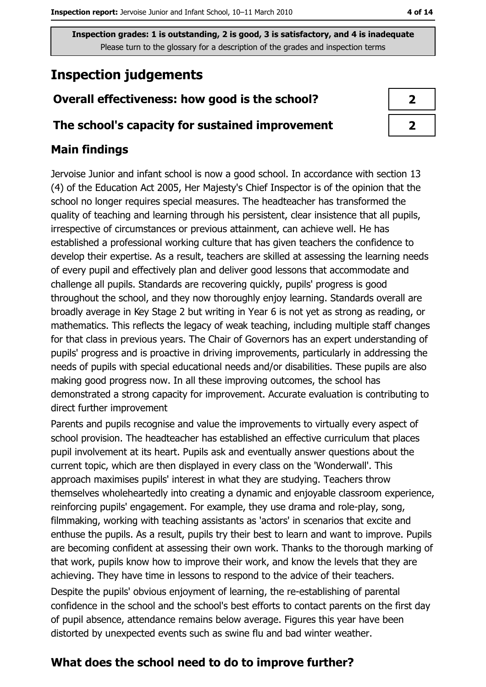# **Inspection judgements**

#### Overall effectiveness: how good is the school?

#### The school's capacity for sustained improvement

#### **Main findings**

Jervoise Junior and infant school is now a good school. In accordance with section 13 (4) of the Education Act 2005, Her Majesty's Chief Inspector is of the opinion that the school no longer requires special measures. The headteacher has transformed the quality of teaching and learning through his persistent, clear insistence that all pupils, irrespective of circumstances or previous attainment, can achieve well. He has established a professional working culture that has given teachers the confidence to develop their expertise. As a result, teachers are skilled at assessing the learning needs of every pupil and effectively plan and deliver good lessons that accommodate and challenge all pupils. Standards are recovering quickly, pupils' progress is good throughout the school, and they now thoroughly enjoy learning. Standards overall are broadly average in Key Stage 2 but writing in Year 6 is not yet as strong as reading, or mathematics. This reflects the legacy of weak teaching, including multiple staff changes for that class in previous years. The Chair of Governors has an expert understanding of pupils' progress and is proactive in driving improvements, particularly in addressing the needs of pupils with special educational needs and/or disabilities. These pupils are also making good progress now. In all these improving outcomes, the school has demonstrated a strong capacity for improvement. Accurate evaluation is contributing to direct further improvement

Parents and pupils recognise and value the improvements to virtually every aspect of school provision. The headteacher has established an effective curriculum that places pupil involvement at its heart. Pupils ask and eventually answer questions about the current topic, which are then displayed in every class on the 'Wonderwall'. This approach maximises pupils' interest in what they are studying. Teachers throw themselves wholeheartedly into creating a dynamic and enjoyable classroom experience, reinforcing pupils' engagement. For example, they use drama and role-play, song, filmmaking, working with teaching assistants as 'actors' in scenarios that excite and enthuse the pupils. As a result, pupils try their best to learn and want to improve. Pupils are becoming confident at assessing their own work. Thanks to the thorough marking of that work, pupils know how to improve their work, and know the levels that they are achieving. They have time in lessons to respond to the advice of their teachers. Despite the pupils' obvious enjoyment of learning, the re-establishing of parental confidence in the school and the school's best efforts to contact parents on the first day of pupil absence, attendance remains below average. Figures this year have been distorted by unexpected events such as swine flu and bad winter weather.

## What does the school need to do to improve further?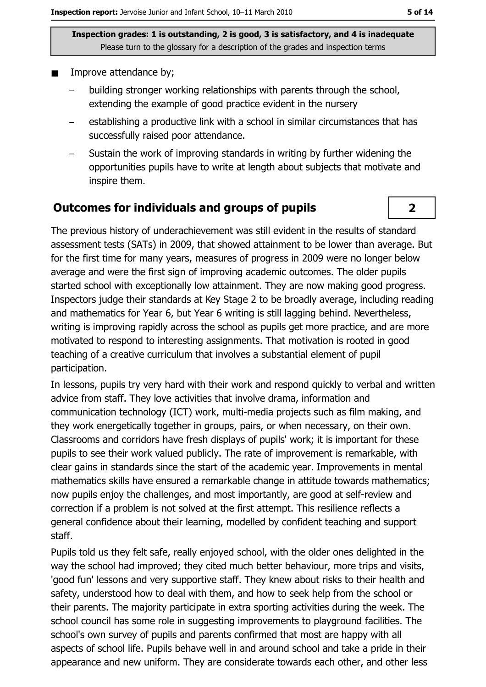- Improve attendance by;
	- building stronger working relationships with parents through the school, extending the example of good practice evident in the nursery
	- establishing a productive link with a school in similar circumstances that has successfully raised poor attendance.
	- Sustain the work of improving standards in writing by further widening the opportunities pupils have to write at length about subjects that motivate and inspire them.

#### **Outcomes for individuals and groups of pupils**

The previous history of underachievement was still evident in the results of standard assessment tests (SATs) in 2009, that showed attainment to be lower than average. But for the first time for many years, measures of progress in 2009 were no longer below average and were the first sign of improving academic outcomes. The older pupils started school with exceptionally low attainment. They are now making good progress. Inspectors judge their standards at Key Stage 2 to be broadly average, including reading and mathematics for Year 6, but Year 6 writing is still lagging behind. Nevertheless, writing is improving rapidly across the school as pupils get more practice, and are more motivated to respond to interesting assignments. That motivation is rooted in good teaching of a creative curriculum that involves a substantial element of pupil participation.

In lessons, pupils try very hard with their work and respond quickly to verbal and written advice from staff. They love activities that involve drama, information and communication technology (ICT) work, multi-media projects such as film making, and they work energetically together in groups, pairs, or when necessary, on their own. Classrooms and corridors have fresh displays of pupils' work; it is important for these pupils to see their work valued publicly. The rate of improvement is remarkable, with clear gains in standards since the start of the academic year. Improvements in mental mathematics skills have ensured a remarkable change in attitude towards mathematics; now pupils enjoy the challenges, and most importantly, are good at self-review and correction if a problem is not solved at the first attempt. This resilience reflects a general confidence about their learning, modelled by confident teaching and support staff.

Pupils told us they felt safe, really enjoyed school, with the older ones delighted in the way the school had improved; they cited much better behaviour, more trips and visits, 'good fun' lessons and very supportive staff. They knew about risks to their health and safety, understood how to deal with them, and how to seek help from the school or their parents. The majority participate in extra sporting activities during the week. The school council has some role in suggesting improvements to playground facilities. The school's own survey of pupils and parents confirmed that most are happy with all aspects of school life. Pupils behave well in and around school and take a pride in their appearance and new uniform. They are considerate towards each other, and other less

 $\overline{2}$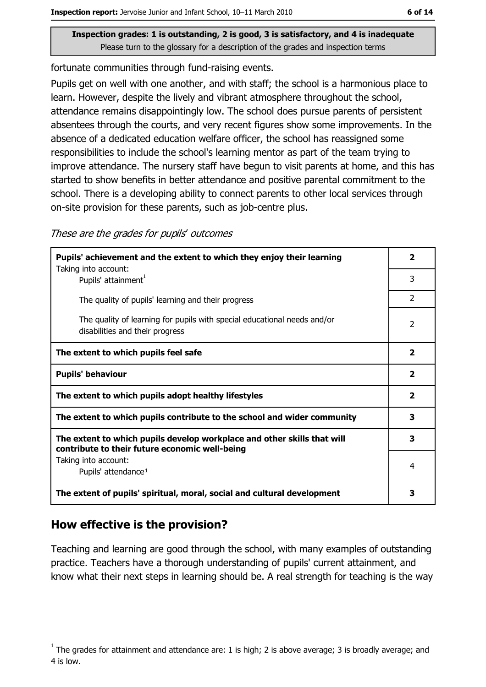fortunate communities through fund-raising events.

Pupils get on well with one another, and with staff; the school is a harmonious place to learn. However, despite the lively and vibrant atmosphere throughout the school, attendance remains disappointingly low. The school does pursue parents of persistent absentees through the courts, and very recent figures show some improvements. In the absence of a dedicated education welfare officer, the school has reassigned some responsibilities to include the school's learning mentor as part of the team trying to improve attendance. The nursery staff have begun to visit parents at home, and this has started to show benefits in better attendance and positive parental commitment to the school. There is a developing ability to connect parents to other local services through on-site provision for these parents, such as job-centre plus.

These are the grades for pupils' outcomes

| Pupils' achievement and the extent to which they enjoy their learning                                                     |                         |
|---------------------------------------------------------------------------------------------------------------------------|-------------------------|
| Taking into account:<br>Pupils' attainment <sup>1</sup>                                                                   | 3                       |
| The quality of pupils' learning and their progress                                                                        | $\mathcal{P}$           |
| The quality of learning for pupils with special educational needs and/or<br>disabilities and their progress               | 2                       |
| The extent to which pupils feel safe                                                                                      | $\overline{\mathbf{2}}$ |
| <b>Pupils' behaviour</b>                                                                                                  |                         |
| The extent to which pupils adopt healthy lifestyles                                                                       |                         |
| The extent to which pupils contribute to the school and wider community                                                   |                         |
| The extent to which pupils develop workplace and other skills that will<br>contribute to their future economic well-being |                         |
| Taking into account:<br>Pupils' attendance <sup>1</sup>                                                                   | 4                       |
| The extent of pupils' spiritual, moral, social and cultural development                                                   | 3                       |

## How effective is the provision?

Teaching and learning are good through the school, with many examples of outstanding practice. Teachers have a thorough understanding of pupils' current attainment, and know what their next steps in learning should be. A real strength for teaching is the way

The grades for attainment and attendance are: 1 is high; 2 is above average; 3 is broadly average; and 4 is low.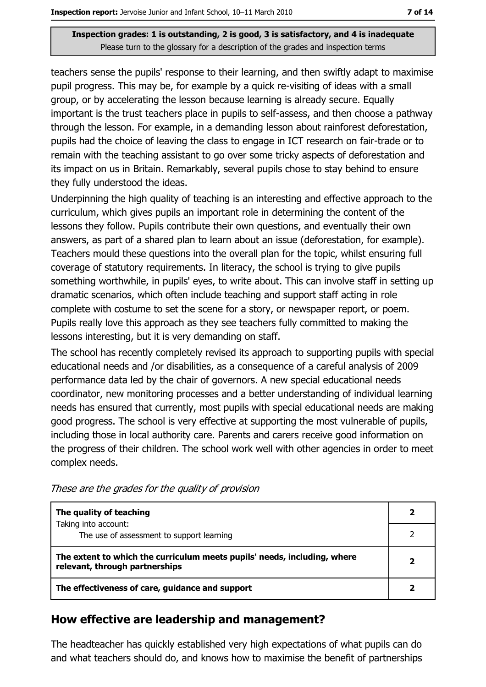teachers sense the pupils' response to their learning, and then swiftly adapt to maximise pupil progress. This may be, for example by a quick re-visiting of ideas with a small group, or by accelerating the lesson because learning is already secure. Equally important is the trust teachers place in pupils to self-assess, and then choose a pathway through the lesson. For example, in a demanding lesson about rainforest deforestation, pupils had the choice of leaving the class to engage in ICT research on fair-trade or to remain with the teaching assistant to go over some tricky aspects of deforestation and its impact on us in Britain. Remarkably, several pupils chose to stay behind to ensure they fully understood the ideas.

Underpinning the high quality of teaching is an interesting and effective approach to the curriculum, which gives pupils an important role in determining the content of the lessons they follow. Pupils contribute their own questions, and eventually their own answers, as part of a shared plan to learn about an issue (deforestation, for example). Teachers mould these questions into the overall plan for the topic, whilst ensuring full coverage of statutory requirements. In literacy, the school is trying to give pupils something worthwhile, in pupils' eyes, to write about. This can involve staff in setting up dramatic scenarios, which often include teaching and support staff acting in role complete with costume to set the scene for a story, or newspaper report, or poem. Pupils really love this approach as they see teachers fully committed to making the lessons interesting, but it is very demanding on staff.

The school has recently completely revised its approach to supporting pupils with special educational needs and /or disabilities, as a consequence of a careful analysis of 2009 performance data led by the chair of governors. A new special educational needs coordinator, new monitoring processes and a better understanding of individual learning needs has ensured that currently, most pupils with special educational needs are making good progress. The school is very effective at supporting the most vulnerable of pupils, including those in local authority care. Parents and carers receive good information on the progress of their children. The school work well with other agencies in order to meet complex needs.

| The quality of teaching                                                                                    |  |
|------------------------------------------------------------------------------------------------------------|--|
| Taking into account:<br>The use of assessment to support learning                                          |  |
| The extent to which the curriculum meets pupils' needs, including, where<br>relevant, through partnerships |  |
| The effectiveness of care, guidance and support                                                            |  |

These are the grades for the quality of provision

## How effective are leadership and management?

The headteacher has quickly established very high expectations of what pupils can do and what teachers should do, and knows how to maximise the benefit of partnerships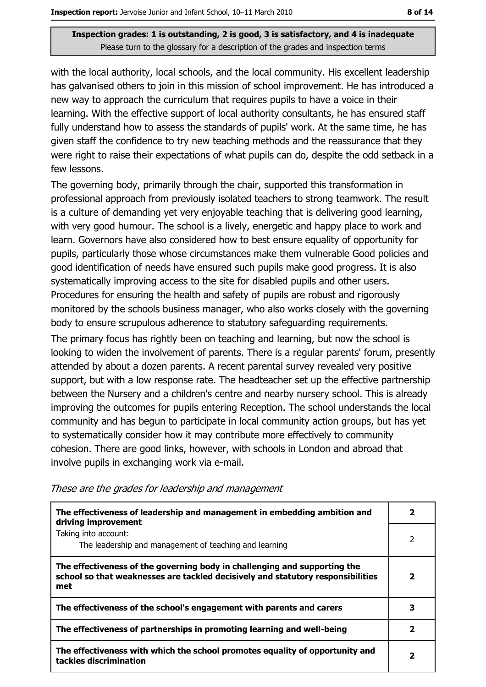with the local authority, local schools, and the local community. His excellent leadership has galvanised others to join in this mission of school improvement. He has introduced a new way to approach the curriculum that requires pupils to have a voice in their learning. With the effective support of local authority consultants, he has ensured staff fully understand how to assess the standards of pupils' work. At the same time, he has given staff the confidence to try new teaching methods and the reassurance that they were right to raise their expectations of what pupils can do, despite the odd setback in a few lessons.

The governing body, primarily through the chair, supported this transformation in professional approach from previously isolated teachers to strong teamwork. The result is a culture of demanding yet very enjoyable teaching that is delivering good learning, with very good humour. The school is a lively, energetic and happy place to work and learn. Governors have also considered how to best ensure equality of opportunity for pupils, particularly those whose circumstances make them vulnerable Good policies and good identification of needs have ensured such pupils make good progress. It is also systematically improving access to the site for disabled pupils and other users. Procedures for ensuring the health and safety of pupils are robust and rigorously monitored by the schools business manager, who also works closely with the governing body to ensure scrupulous adherence to statutory safeguarding requirements.

The primary focus has rightly been on teaching and learning, but now the school is looking to widen the involvement of parents. There is a regular parents' forum, presently attended by about a dozen parents. A recent parental survey revealed very positive support, but with a low response rate. The headteacher set up the effective partnership between the Nursery and a children's centre and nearby nursery school. This is already improving the outcomes for pupils entering Reception. The school understands the local community and has begun to participate in local community action groups, but has yet to systematically consider how it may contribute more effectively to community cohesion. There are good links, however, with schools in London and abroad that involve pupils in exchanging work via e-mail.

The effectiveness of leadership and management in embedding ambition and  $2<sup>1</sup>$ driving improvement Taking into account:  $\overline{2}$ The leadership and management of teaching and learning The effectiveness of the governing body in challenging and supporting the school so that weaknesses are tackled decisively and statutory responsibilities  $\overline{2}$ met  $\overline{\mathbf{3}}$ The effectiveness of the school's engagement with parents and carers The effectiveness of partnerships in promoting learning and well-being  $\overline{2}$ The effectiveness with which the school promotes equality of opportunity and  $\overline{2}$ tackles discrimination

These are the grades for leadership and management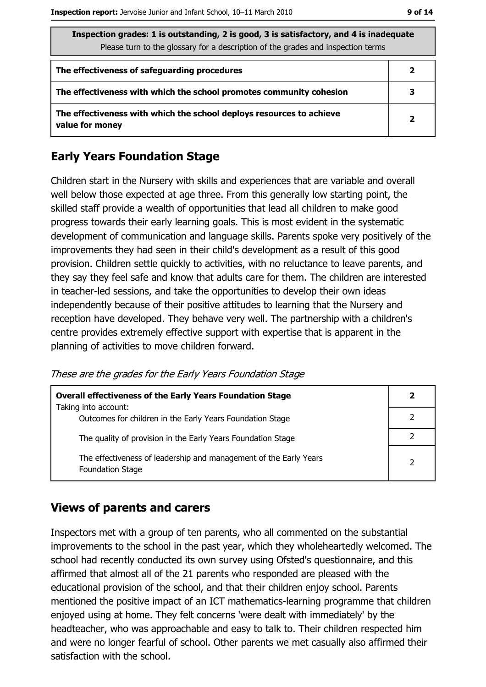| Inspection grades: 1 is outstanding, 2 is good, 3 is satisfactory, and 4 is inadequate |  |
|----------------------------------------------------------------------------------------|--|
| Please turn to the glossary for a description of the grades and inspection terms       |  |
|                                                                                        |  |
|                                                                                        |  |

| The effectiveness of safeguarding procedures                                            |              |
|-----------------------------------------------------------------------------------------|--------------|
| The effectiveness with which the school promotes community cohesion                     | 3            |
| The effectiveness with which the school deploys resources to achieve<br>value for money | $\mathbf{z}$ |

## **Early Years Foundation Stage**

Children start in the Nursery with skills and experiences that are variable and overall well below those expected at age three. From this generally low starting point, the skilled staff provide a wealth of opportunities that lead all children to make good progress towards their early learning goals. This is most evident in the systematic development of communication and language skills. Parents spoke very positively of the improvements they had seen in their child's development as a result of this good provision. Children settle quickly to activities, with no reluctance to leave parents, and they say they feel safe and know that adults care for them. The children are interested in teacher-led sessions, and take the opportunities to develop their own ideas independently because of their positive attitudes to learning that the Nursery and reception have developed. They behave very well. The partnership with a children's centre provides extremely effective support with expertise that is apparent in the planning of activities to move children forward.

These are the grades for the Early Years Foundation Stage

| <b>Overall effectiveness of the Early Years Foundation Stage</b>                             |                |  |
|----------------------------------------------------------------------------------------------|----------------|--|
| Taking into account:<br>Outcomes for children in the Early Years Foundation Stage            |                |  |
| The quality of provision in the Early Years Foundation Stage                                 |                |  |
| The effectiveness of leadership and management of the Early Years<br><b>Foundation Stage</b> | $\overline{2}$ |  |

#### **Views of parents and carers**

Inspectors met with a group of ten parents, who all commented on the substantial improvements to the school in the past year, which they wholeheartedly welcomed. The school had recently conducted its own survey using Ofsted's questionnaire, and this affirmed that almost all of the 21 parents who responded are pleased with the educational provision of the school, and that their children enjoy school. Parents mentioned the positive impact of an ICT mathematics-learning programme that children enjoyed using at home. They felt concerns 'were dealt with immediately' by the headteacher, who was approachable and easy to talk to. Their children respected him and were no longer fearful of school. Other parents we met casually also affirmed their satisfaction with the school.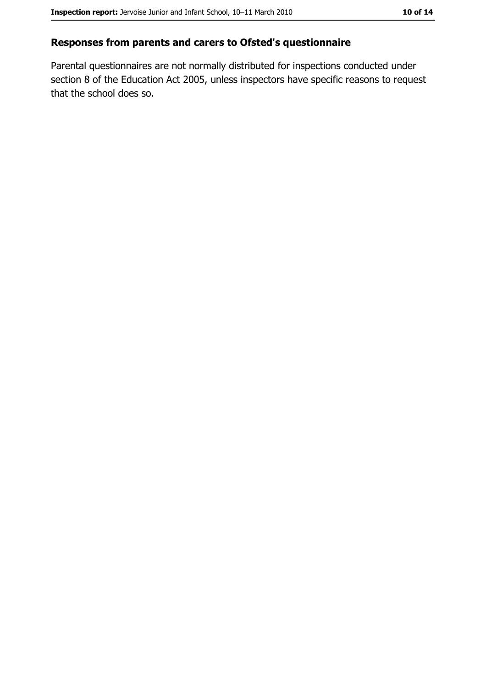#### Responses from parents and carers to Ofsted's questionnaire

Parental questionnaires are not normally distributed for inspections conducted under section 8 of the Education Act 2005, unless inspectors have specific reasons to request that the school does so.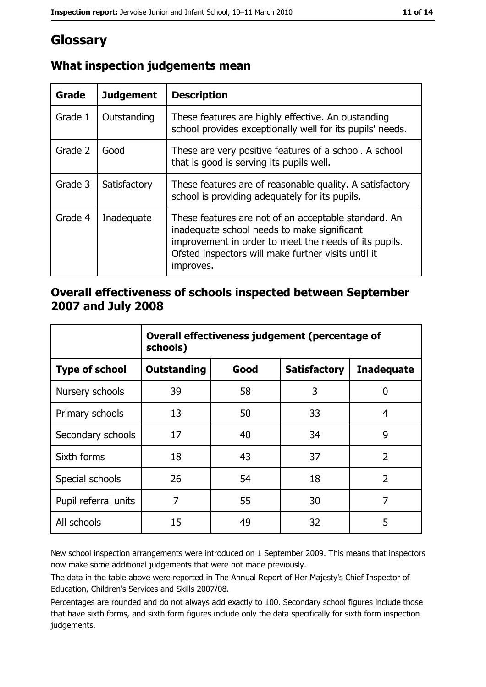# Glossary

| Grade   | <b>Judgement</b> | <b>Description</b>                                                                                                                                                                                                               |
|---------|------------------|----------------------------------------------------------------------------------------------------------------------------------------------------------------------------------------------------------------------------------|
| Grade 1 | Outstanding      | These features are highly effective. An oustanding<br>school provides exceptionally well for its pupils' needs.                                                                                                                  |
| Grade 2 | Good             | These are very positive features of a school. A school<br>that is good is serving its pupils well.                                                                                                                               |
| Grade 3 | Satisfactory     | These features are of reasonable quality. A satisfactory<br>school is providing adequately for its pupils.                                                                                                                       |
| Grade 4 | Inadequate       | These features are not of an acceptable standard. An<br>inadequate school needs to make significant<br>improvement in order to meet the needs of its pupils.<br>Ofsted inspectors will make further visits until it<br>improves. |

## What inspection judgements mean

## Overall effectiveness of schools inspected between September 2007 and July 2008

|                       | Overall effectiveness judgement (percentage of<br>schools) |      |                     |                   |
|-----------------------|------------------------------------------------------------|------|---------------------|-------------------|
| <b>Type of school</b> | <b>Outstanding</b>                                         | Good | <b>Satisfactory</b> | <b>Inadequate</b> |
| Nursery schools       | 39                                                         | 58   | 3                   | 0                 |
| Primary schools       | 13                                                         | 50   | 33                  | 4                 |
| Secondary schools     | 17                                                         | 40   | 34                  | 9                 |
| Sixth forms           | 18                                                         | 43   | 37                  | $\overline{2}$    |
| Special schools       | 26                                                         | 54   | 18                  | $\overline{2}$    |
| Pupil referral units  | 7                                                          | 55   | 30                  | 7                 |
| All schools           | 15                                                         | 49   | 32                  | 5                 |

New school inspection arrangements were introduced on 1 September 2009. This means that inspectors now make some additional judgements that were not made previously.

The data in the table above were reported in The Annual Report of Her Majesty's Chief Inspector of Education, Children's Services and Skills 2007/08.

Percentages are rounded and do not always add exactly to 100. Secondary school figures include those that have sixth forms, and sixth form figures include only the data specifically for sixth form inspection judgements.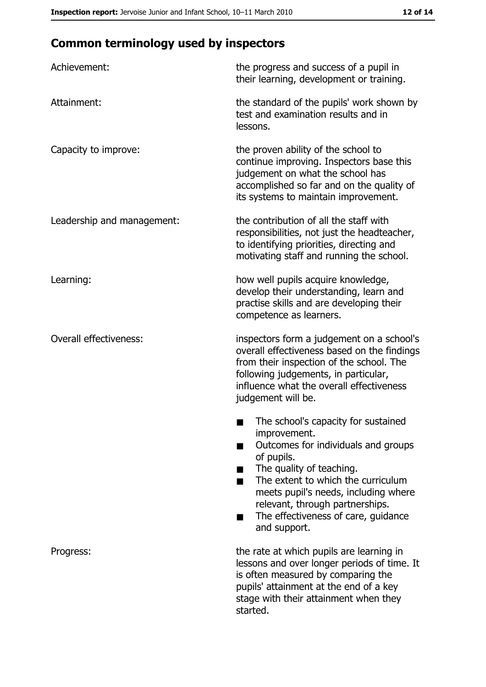# **Common terminology used by inspectors**

| Achievement:                  | the progress and success of a pupil in<br>their learning, development or training.                                                                                                                                                                                                                                |
|-------------------------------|-------------------------------------------------------------------------------------------------------------------------------------------------------------------------------------------------------------------------------------------------------------------------------------------------------------------|
| Attainment:                   | the standard of the pupils' work shown by<br>test and examination results and in<br>lessons.                                                                                                                                                                                                                      |
| Capacity to improve:          | the proven ability of the school to<br>continue improving. Inspectors base this<br>judgement on what the school has<br>accomplished so far and on the quality of<br>its systems to maintain improvement.                                                                                                          |
| Leadership and management:    | the contribution of all the staff with<br>responsibilities, not just the headteacher,<br>to identifying priorities, directing and<br>motivating staff and running the school.                                                                                                                                     |
| Learning:                     | how well pupils acquire knowledge,<br>develop their understanding, learn and<br>practise skills and are developing their<br>competence as learners.                                                                                                                                                               |
| <b>Overall effectiveness:</b> | inspectors form a judgement on a school's<br>overall effectiveness based on the findings<br>from their inspection of the school. The<br>following judgements, in particular,<br>influence what the overall effectiveness<br>judgement will be.                                                                    |
|                               | The school's capacity for sustained<br>improvement.<br>Outcomes for individuals and groups<br>of pupils.<br>The quality of teaching.<br>The extent to which the curriculum<br>meets pupil's needs, including where<br>relevant, through partnerships.<br>The effectiveness of care, guidance<br>■<br>and support. |
| Progress:                     | the rate at which pupils are learning in<br>lessons and over longer periods of time. It<br>is often measured by comparing the<br>pupils' attainment at the end of a key<br>stage with their attainment when they<br>started.                                                                                      |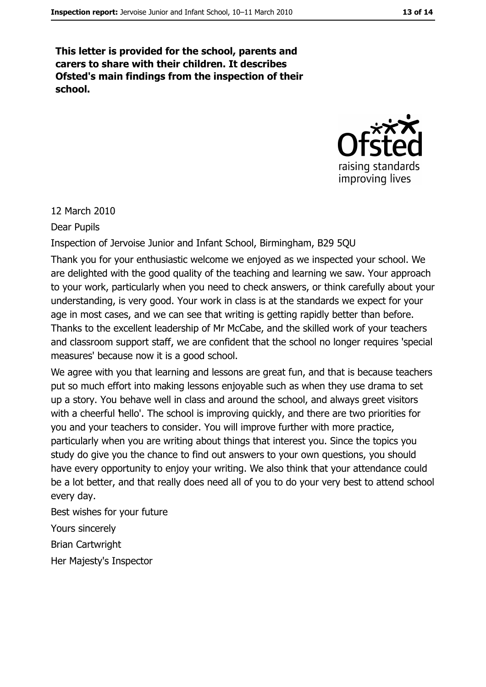This letter is provided for the school, parents and carers to share with their children. It describes Ofsted's main findings from the inspection of their school.



#### 12 March 2010

**Dear Pupils** 

Inspection of Jervoise Junior and Infant School, Birmingham, B29 5QU

Thank you for your enthusiastic welcome we enjoyed as we inspected your school. We are delighted with the good quality of the teaching and learning we saw. Your approach to your work, particularly when you need to check answers, or think carefully about your understanding, is very good. Your work in class is at the standards we expect for your age in most cases, and we can see that writing is getting rapidly better than before. Thanks to the excellent leadership of Mr McCabe, and the skilled work of your teachers and classroom support staff, we are confident that the school no longer requires 'special measures' because now it is a good school.

We agree with you that learning and lessons are great fun, and that is because teachers put so much effort into making lessons enjoyable such as when they use drama to set up a story. You behave well in class and around the school, and always greet visitors with a cheerful hello'. The school is improving quickly, and there are two priorities for you and your teachers to consider. You will improve further with more practice, particularly when you are writing about things that interest you. Since the topics you study do give you the chance to find out answers to your own questions, you should have every opportunity to enjoy your writing. We also think that your attendance could be a lot better, and that really does need all of you to do your very best to attend school every day.

Best wishes for your future Yours sincerely **Brian Cartwright** Her Majesty's Inspector